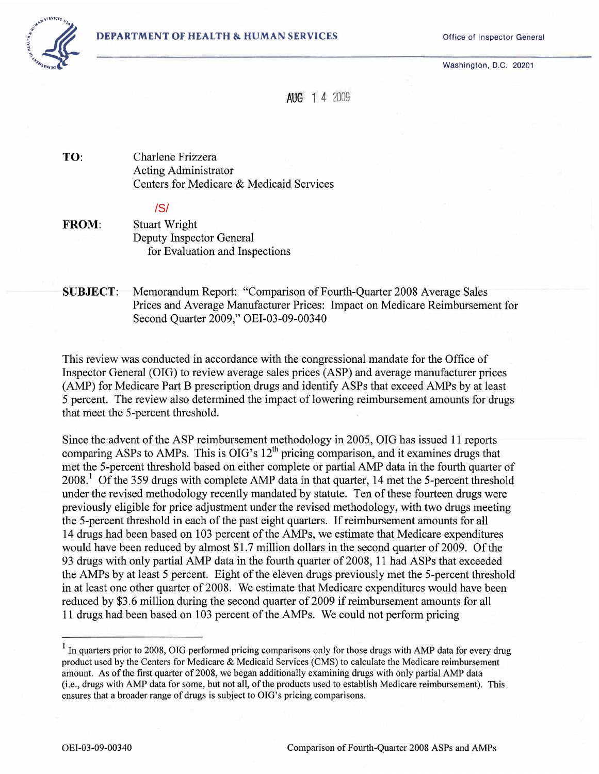

Washington, D.C. 20201



TO: Charlene Frizzera Acting Administrator Centers for Medicare & Medicaid Services

#### /S/

- FROM: Stuart Wright Deputy Inspector General for Evaluation and Inspections
- SUBJECT: Memorandum Report: "Comparison of Fourth-Quarter 2008 Average Sales Prices and Average Manufacturer Prices: Impact on Medicare Reimbursement for Second Quarter 2009," OEI-03-09-00340

This review was conducted in accordance with the congressional mandate for the Office of Inspector General (OIG) to review average sales prices (ASP) and average manufacturer prices (AMP) for Medicare Part B prescription drugs and identify ASPs that exceed AMPs by at least 5 percent. The review also determined the impact of lowering reimbursement amounts for drugs that meet the 5-percent threshold.

Since the advent of the ASP reimbursement methodology in 2005, OIG has issued 11 reports comparing ASPs to AMPs. This is  $OIG's 12<sup>th</sup>$  pricing comparison, and it examines drugs that met the [5](#page-0-0)-percent threshold based on either complete or partial AMP data in the fourth quarter of  $2008<sup>1</sup>$  Of the 359 drugs with complete AMP data in that quarter, 14 met the 5-percent threshold under the revised methodology recently mandated by statute. Ten of these fourteen drugs were previously eligible for price adjustment under the revised methodology, with two drugs meeting the 5-percent threshold in each of the past eight quarters. If reimbursement amounts for all 14 drugs had been based on 103 percent of the AMPs, we estimate that Medicare expenditures would have been reduced by almost \$1.7 million dollars in the second quarter of 2009. Of the 93 drugs with only partial AMP data in the fourth quarter of 2008, 11 had ASPs that exceeded the AMPs by at least 5 percent. Eight of the eleven drugs previously met the 5-percent threshold in at least one other quarter of 2008. We estimate that Medicare expenditures would have been reduced by \$3.6 million during the second quarter of 2009 if reimbursement amounts for all 11 drugs had been based on 103 percent of the AMPs. We could not perform pricing

<span id="page-0-0"></span><sup>&</sup>lt;sup>1</sup> In quarters prior to 2008, OIG performed pricing comparisons only for those drugs with AMP data for every drug product used by the Centers for Medicare & Medicaid Services (CMS) to calculate the Medicare reimbursement amount. As of the first quarter of 2008, we began additionally examining drugs with only partial AMP data (i.e., drugs with AMP data for some, but not all, of the products used to establish Medicare reimbursement). This ensures that a broader range of drugs is subject to OIG's pricing comparisons.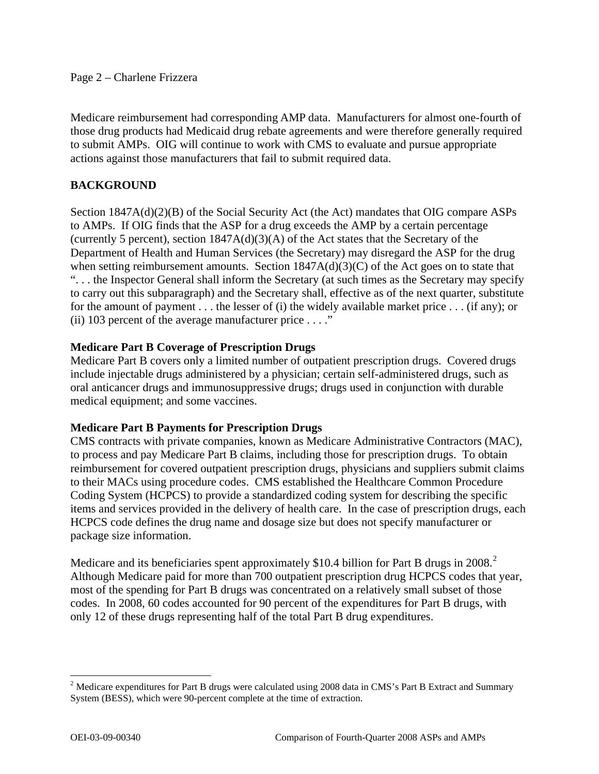#### Page 2 – Charlene Frizzera

Medicare reimbursement had corresponding AMP data. Manufacturers for almost one-fourth of those drug products had Medicaid drug rebate agreements and were therefore generally required to submit AMPs. OIG will continue to work with CMS to evaluate and pursue appropriate actions against those manufacturers that fail to submit required data.

# **BACKGROUND**

Section 1847A(d)(2)(B) of the Social Security Act (the Act) mandates that OIG compare ASPs to AMPs. If OIG finds that the ASP for a drug exceeds the AMP by a certain percentage (currently 5 percent), section  $1847A(d)(3)(A)$  of the Act states that the Secretary of the Department of Health and Human Services (the Secretary) may disregard the ASP for the drug when setting reimbursement amounts. Section 1847A(d)(3)(C) of the Act goes on to state that ". . . the Inspector General shall inform the Secretary (at such times as the Secretary may specify to carry out this subparagraph) and the Secretary shall, effective as of the next quarter, substitute for the amount of payment . . . the lesser of (i) the widely available market price . . . (if any); or (ii) 103 percent of the average manufacturer price  $\dots$ ."

#### **Medicare Part B Coverage of Prescription Drugs**

Medicare Part B covers only a limited number of outpatient prescription drugs. Covered drugs include injectable drugs administered by a physician; certain self-administered drugs, such as oral anticancer drugs and immunosuppressive drugs; drugs used in conjunction with durable medical equipment; and some vaccines.

#### **Medicare Part B Payments for Prescription Drugs**

CMS contracts with private companies, known as Medicare Administrative Contractors (MAC), to process and pay Medicare Part B claims, including those for prescription drugs. To obtain reimbursement for covered outpatient prescription drugs, physicians and suppliers submit claims to their MACs using procedure codes. CMS established the Healthcare Common Procedure Coding System (HCPCS) to provide a standardized coding system for describing the specific items and services provided in the delivery of health care. In the case of prescription drugs, each HCPCS code defines the drug name and dosage size but does not specify manufacturer or package size information.

Medicare and its beneficiaries spent approximately \$10.4 billion for Part B drugs in [2](#page-1-0)008.<sup>2</sup> Although Medicare paid for more than 700 outpatient prescription drug HCPCS codes that year, most of the spending for Part B drugs was concentrated on a relatively small subset of those codes. In 2008, 60 codes accounted for 90 percent of the expenditures for Part B drugs, with only 12 of these drugs representing half of the total Part B drug expenditures.

<span id="page-1-0"></span><sup>&</sup>lt;sup>2</sup> Medicare expenditures for Part B drugs were calculated using 2008 data in CMS's Part B Extract and Summary System (BESS), which were 90-percent complete at the time of extraction.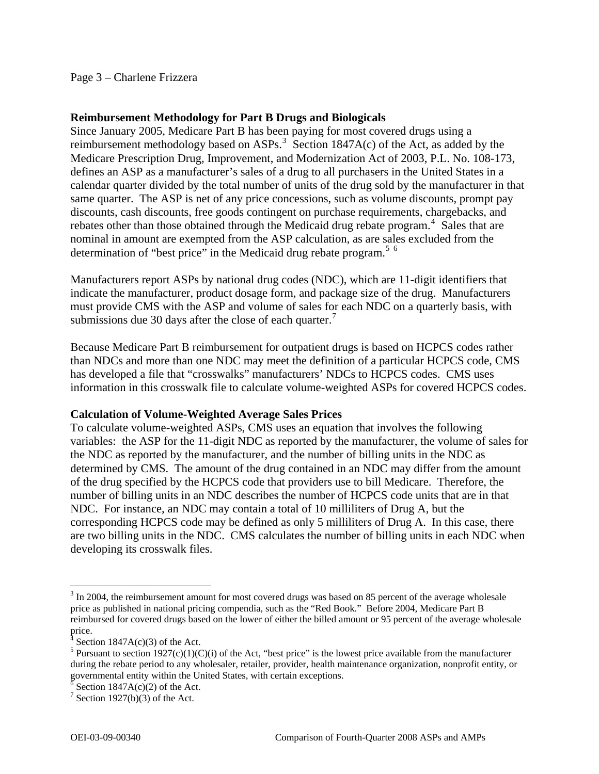#### Page 3 – Charlene Frizzera

#### **Reimbursement Methodology for Part B Drugs and Biologicals**

Since January 2005, Medicare Part B has been paying for most covered drugs using a reimbursement methodology based on ASPs.<sup>[3](#page-2-0)</sup> Section 1847A(c) of the Act, as added by the Medicare Prescription Drug, Improvement, and Modernization Act of 2003, P.L. No. 108-173, defines an ASP as a manufacturer's sales of a drug to all purchasers in the United States in a calendar quarter divided by the total number of units of the drug sold by the manufacturer in that same quarter. The ASP is net of any price concessions, such as volume discounts, prompt pay discounts, cash discounts, free goods contingent on purchase requirements, chargebacks, and rebates other than those obtained through the Medicaid drug rebate program.<sup>[4](#page-2-1)</sup> Sales that are nominal in amount are exempted from the ASP calculation, as are sales excluded from the determination of "best price" in the Medicaid drug rebate program.<sup>[5](#page-2-2) [6](#page-2-3)</sup>

Manufacturers report ASPs by national drug codes (NDC), which are 11-digit identifiers that indicate the manufacturer, product dosage form, and package size of the drug. Manufacturers must provide CMS with the ASP and volume of sales for each NDC on a quarterly basis, with submissions due 30 days after the close of each quarter.<sup>[7](#page-2-4)</sup>

Because Medicare Part B reimbursement for outpatient drugs is based on HCPCS codes rather than NDCs and more than one NDC may meet the definition of a particular HCPCS code, CMS has developed a file that "crosswalks" manufacturers' NDCs to HCPCS codes. CMS uses information in this crosswalk file to calculate volume-weighted ASPs for covered HCPCS codes.

#### **Calculation of Volume-Weighted Average Sales Prices**

To calculate volume-weighted ASPs, CMS uses an equation that involves the following variables: the ASP for the 11-digit NDC as reported by the manufacturer, the volume of sales for the NDC as reported by the manufacturer, and the number of billing units in the NDC as determined by CMS. The amount of the drug contained in an NDC may differ from the amount of the drug specified by the HCPCS code that providers use to bill Medicare. Therefore, the number of billing units in an NDC describes the number of HCPCS code units that are in that NDC. For instance, an NDC may contain a total of 10 milliliters of Drug A, but the corresponding HCPCS code may be defined as only 5 milliliters of Drug A. In this case, there are two billing units in the NDC. CMS calculates the number of billing units in each NDC when developing its crosswalk files.

<span id="page-2-0"></span> $3 \text{ In } 2004$ , the reimbursement amount for most covered drugs was based on 85 percent of the average wholesale price as published in national pricing compendia, such as the "Red Book." Before 2004, Medicare Part B reimbursed for covered drugs based on the lower of either the billed amount or 95 percent of the average wholesale price.<br><sup>4</sup> Sections

Section  $1847A(c)(3)$  of the Act.

<span id="page-2-2"></span><span id="page-2-1"></span><sup>&</sup>lt;sup>5</sup> Pursuant to section 1927(c)(1)(C)(i) of the Act, "best price" is the lowest price available from the manufacturer during the rebate period to any wholesaler, retailer, provider, health maintenance organization, nonprofit entity, or governmental entity within the United States, with certain exceptions. 6 Section 1847A(c)(2) of the Act.

<span id="page-2-3"></span>

<span id="page-2-4"></span><sup>&</sup>lt;sup>7</sup> Section 1927(b)(3) of the Act.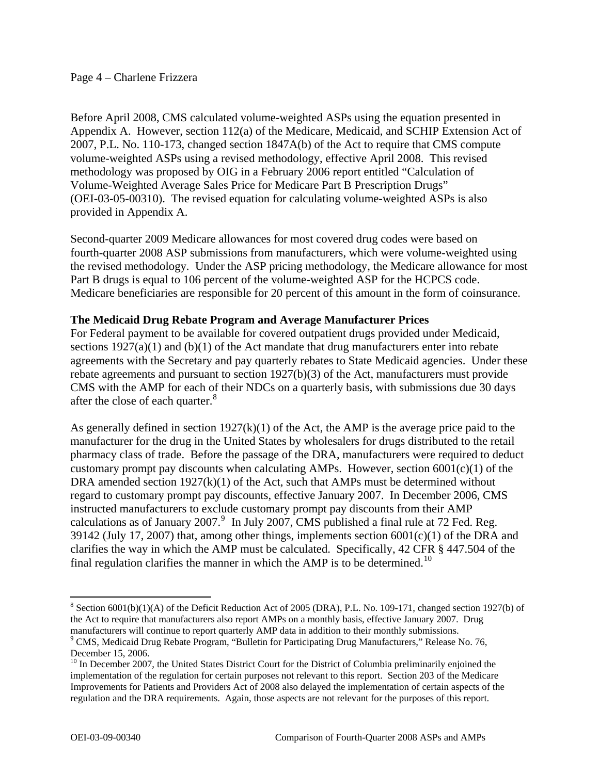#### Page 4 – Charlene Frizzera

Before April 2008, CMS calculated volume-weighted ASPs using the equation presented in Appendix A. However, section 112(a) of the Medicare, Medicaid, and SCHIP Extension Act of 2007, P.L. No. 110-173, changed section 1847A(b) of the Act to require that CMS compute volume-weighted ASPs using a revised methodology, effective April 2008. This revised methodology was proposed by OIG in a February 2006 report entitled "Calculation of Volume-Weighted Average Sales Price for Medicare Part B Prescription Drugs" (OEI-03-05-00310). The revised equation for calculating volume-weighted ASPs is also provided in Appendix A.

Second-quarter 2009 Medicare allowances for most covered drug codes were based on fourth-quarter 2008 ASP submissions from manufacturers, which were volume-weighted using the revised methodology. Under the ASP pricing methodology, the Medicare allowance for most Part B drugs is equal to 106 percent of the volume-weighted ASP for the HCPCS code. Medicare beneficiaries are responsible for 20 percent of this amount in the form of coinsurance.

#### **The Medicaid Drug Rebate Program and Average Manufacturer Prices**

For Federal payment to be available for covered outpatient drugs provided under Medicaid, sections  $1927(a)(1)$  and  $(b)(1)$  of the Act mandate that drug manufacturers enter into rebate agreements with the Secretary and pay quarterly rebates to State Medicaid agencies. Under these rebate agreements and pursuant to section 1927(b)(3) of the Act, manufacturers must provide CMS with the AMP for each of their NDCs on a quarterly basis, with submissions due 30 days after the close of each quarter. $8$ 

As generally defined in section  $1927(k)(1)$  of the Act, the AMP is the average price paid to the manufacturer for the drug in the United States by wholesalers for drugs distributed to the retail pharmacy class of trade. Before the passage of the DRA, manufacturers were required to deduct customary prompt pay discounts when calculating AMPs. However, section  $6001(c)(1)$  of the DRA amended section  $1927(k)(1)$  of the Act, such that AMPs must be determined without regard to customary prompt pay discounts, effective January 2007. In December 2006, CMS instructed manufacturers to exclude customary prompt pay discounts from their AMP calculations as of January 2007. $9\,$  $9\,$  In July 2007, CMS published a final rule at 72 Fed. Reg. 39142 (July 17, 2007) that, among other things, implements section  $6001(c)(1)$  of the DRA and clarifies the way in which the AMP must be calculated. Specifically, 42 CFR § 447.504 of the final regulation clarifies the manner in which the AMP is to be determined.<sup>[10](#page-3-2)</sup>

<span id="page-3-0"></span> $8$  Section 6001(b)(1)(A) of the Deficit Reduction Act of 2005 (DRA), P.L. No. 109-171, changed section 1927(b) of the Act to require that manufacturers also report AMPs on a monthly basis, effective January 2007. Drug manufacturers will continue to report quarterly AMP data in addition to their monthly submissions. 9

<span id="page-3-1"></span>CMS, Medicaid Drug Rebate Program, "Bulletin for Participating Drug Manufacturers," Release No. 76, December 15, 2006.

<span id="page-3-2"></span><sup>&</sup>lt;sup>10</sup> In December 2007, the United States District Court for the District of Columbia preliminarily enjoined the implementation of the regulation for certain purposes not relevant to this report. Section 203 of the Medicare Improvements for Patients and Providers Act of 2008 also delayed the implementation of certain aspects of the regulation and the DRA requirements. Again, those aspects are not relevant for the purposes of this report.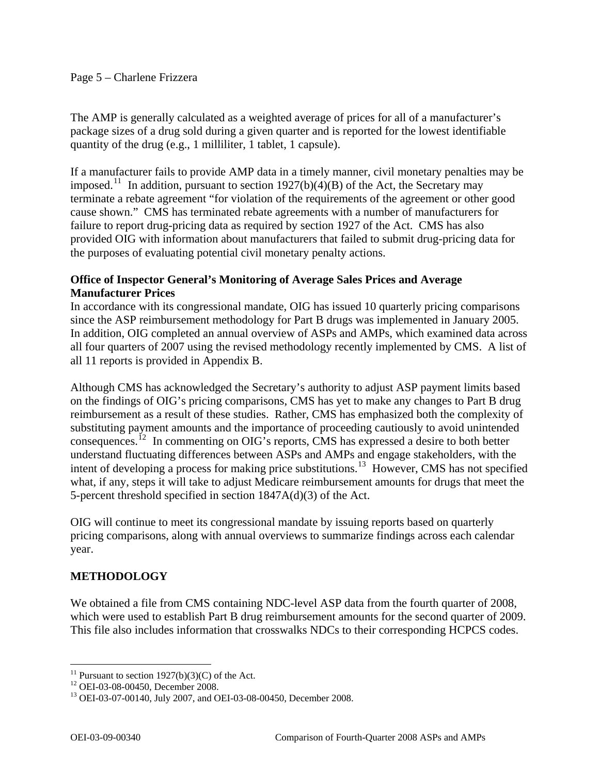#### Page 5 – Charlene Frizzera

The AMP is generally calculated as a weighted average of prices for all of a manufacturer's package sizes of a drug sold during a given quarter and is reported for the lowest identifiable quantity of the drug (e.g., 1 milliliter, 1 tablet, 1 capsule).

If a manufacturer fails to provide AMP data in a timely manner, civil monetary penalties may be imposed.<sup>[11](#page-4-0)</sup> In addition, pursuant to section 1927(b)(4)(B) of the Act, the Secretary may terminate a rebate agreement "for violation of the requirements of the agreement or other good cause shown." CMS has terminated rebate agreements with a number of manufacturers for failure to report drug-pricing data as required by section 1927 of the Act. CMS has also provided OIG with information about manufacturers that failed to submit drug-pricing data for the purposes of evaluating potential civil monetary penalty actions.

## **Office of Inspector General's Monitoring of Average Sales Prices and Average Manufacturer Prices**

In accordance with its congressional mandate, OIG has issued 10 quarterly pricing comparisons since the ASP reimbursement methodology for Part B drugs was implemented in January 2005. In addition, OIG completed an annual overview of ASPs and AMPs, which examined data across all four quarters of 2007 using the revised methodology recently implemented by CMS. A list of all 11 reports is provided in Appendix B.

Although CMS has acknowledged the Secretary's authority to adjust ASP payment limits based on the findings of OIG's pricing comparisons, CMS has yet to make any changes to Part B drug reimbursement as a result of these studies. Rather, CMS has emphasized both the complexity of substituting payment amounts and the importance of proceeding cautiously to avoid unintended consequences.[12](#page-4-1) In commenting on OIG's reports, CMS has expressed a desire to both better understand fluctuating differences between ASPs and AMPs and engage stakeholders, with the intent of developing a process for making price substitutions.<sup>[13](#page-4-2)</sup> However, CMS has not specified what, if any, steps it will take to adjust Medicare reimbursement amounts for drugs that meet the 5-percent threshold specified in section 1847A(d)(3) of the Act.

OIG will continue to meet its congressional mandate by issuing reports based on quarterly pricing comparisons, along with annual overviews to summarize findings across each calendar year.

# **METHODOLOGY**

We obtained a file from CMS containing NDC-level ASP data from the fourth quarter of 2008, which were used to establish Part B drug reimbursement amounts for the second quarter of 2009. This file also includes information that crosswalks NDCs to their corresponding HCPCS codes.

<span id="page-4-0"></span><sup>&</sup>lt;sup>11</sup> Pursuant to section  $1927(b)(3)(C)$  of the Act.

<span id="page-4-1"></span><sup>12</sup> OEI-03-08-00450, December 2008.

<span id="page-4-2"></span><sup>13</sup> OEI-03-07-00140, July 2007, and OEI-03-08-00450, December 2008.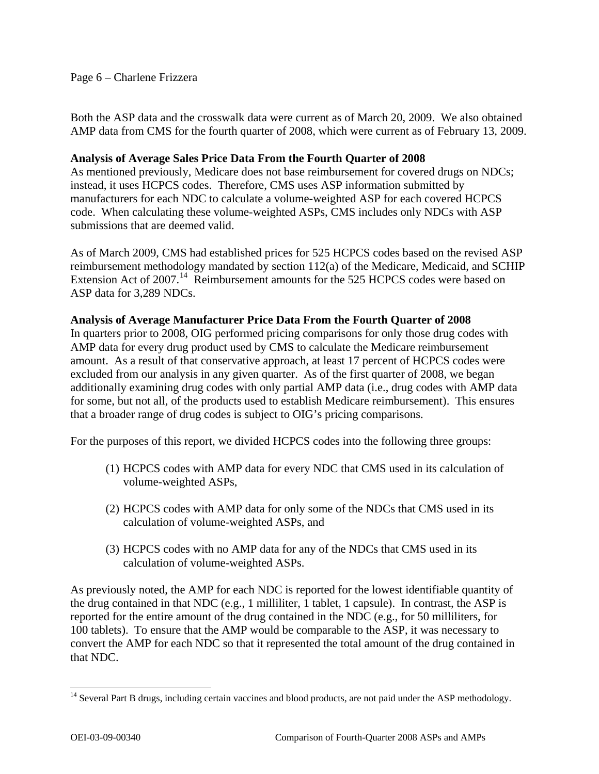## Page 6 – Charlene Frizzera

Both the ASP data and the crosswalk data were current as of March 20, 2009. We also obtained AMP data from CMS for the fourth quarter of 2008, which were current as of February 13, 2009.

#### **Analysis of Average Sales Price Data From the Fourth Quarter of 2008**

As mentioned previously, Medicare does not base reimbursement for covered drugs on NDCs; instead, it uses HCPCS codes. Therefore, CMS uses ASP information submitted by manufacturers for each NDC to calculate a volume-weighted ASP for each covered HCPCS code. When calculating these volume-weighted ASPs, CMS includes only NDCs with ASP submissions that are deemed valid.

As of March 2009, CMS had established prices for 525 HCPCS codes based on the revised ASP reimbursement methodology mandated by section 112(a) of the Medicare, Medicaid, and SCHIP Extension Act of 2007.<sup>[14](#page-5-0)</sup> Reimbursement amounts for the 525 HCPCS codes were based on ASP data for 3,289 NDCs.

#### **Analysis of Average Manufacturer Price Data From the Fourth Quarter of 2008**

In quarters prior to 2008, OIG performed pricing comparisons for only those drug codes with AMP data for every drug product used by CMS to calculate the Medicare reimbursement amount. As a result of that conservative approach, at least 17 percent of HCPCS codes were excluded from our analysis in any given quarter. As of the first quarter of 2008, we began additionally examining drug codes with only partial AMP data (i.e., drug codes with AMP data for some, but not all, of the products used to establish Medicare reimbursement). This ensures that a broader range of drug codes is subject to OIG's pricing comparisons.

For the purposes of this report, we divided HCPCS codes into the following three groups:

- (1) HCPCS codes with AMP data for every NDC that CMS used in its calculation of volume-weighted ASPs,
- (2) HCPCS codes with AMP data for only some of the NDCs that CMS used in its calculation of volume-weighted ASPs, and
- (3) HCPCS codes with no AMP data for any of the NDCs that CMS used in its calculation of volume-weighted ASPs.

As previously noted, the AMP for each NDC is reported for the lowest identifiable quantity of the drug contained in that NDC (e.g., 1 milliliter, 1 tablet, 1 capsule). In contrast, the ASP is reported for the entire amount of the drug contained in the NDC (e.g., for 50 milliliters, for 100 tablets). To ensure that the AMP would be comparable to the ASP, it was necessary to convert the AMP for each NDC so that it represented the total amount of the drug contained in that NDC.

<span id="page-5-0"></span><sup>&</sup>lt;sup>14</sup> Several Part B drugs, including certain vaccines and blood products, are not paid under the ASP methodology.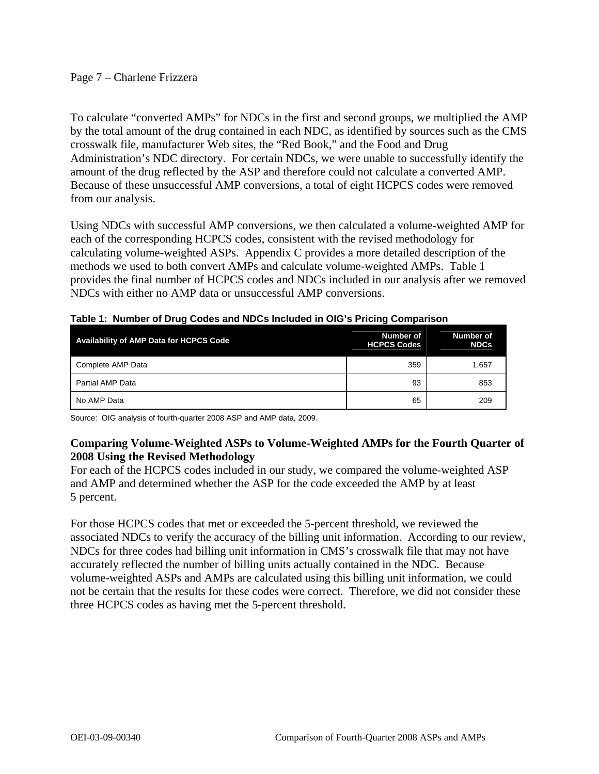### Page 7 – Charlene Frizzera

To calculate "converted AMPs" for NDCs in the first and second groups, we multiplied the AMP by the total amount of the drug contained in each NDC, as identified by sources such as the CMS crosswalk file, manufacturer Web sites, the "Red Book," and the Food and Drug Administration's NDC directory. For certain NDCs, we were unable to successfully identify the amount of the drug reflected by the ASP and therefore could not calculate a converted AMP. Because of these unsuccessful AMP conversions, a total of eight HCPCS codes were removed from our analysis.

Using NDCs with successful AMP conversions, we then calculated a volume-weighted AMP for each of the corresponding HCPCS codes, consistent with the revised methodology for calculating volume-weighted ASPs. Appendix C provides a more detailed description of the methods we used to both convert AMPs and calculate volume-weighted AMPs. Table 1 provides the final number of HCPCS codes and NDCs included in our analysis after we removed NDCs with either no AMP data or unsuccessful AMP conversions.

| <b>Availability of AMP Data for HCPCS Code</b> | Number of<br><b>HCPCS Codes</b> | Number of<br><b>NDCs</b> |
|------------------------------------------------|---------------------------------|--------------------------|
| Complete AMP Data                              | 359                             | 1.657                    |
| Partial AMP Data                               | 93                              | 853                      |
| No AMP Data                                    | 65                              | 209                      |

**Table 1: Number of Drug Codes and NDCs Included in OIG's Pricing Comparison**

Source: OIG analysis of fourth-quarter 2008 ASP and AMP data, 2009.

# **Comparing Volume-Weighted ASPs to Volume-Weighted AMPs for the Fourth Quarter of 2008 Using the Revised Methodology**

For each of the HCPCS codes included in our study, we compared the volume-weighted ASP and AMP and determined whether the ASP for the code exceeded the AMP by at least 5 percent.

For those HCPCS codes that met or exceeded the 5-percent threshold, we reviewed the associated NDCs to verify the accuracy of the billing unit information. According to our review, NDCs for three codes had billing unit information in CMS's crosswalk file that may not have accurately reflected the number of billing units actually contained in the NDC. Because volume-weighted ASPs and AMPs are calculated using this billing unit information, we could not be certain that the results for these codes were correct. Therefore, we did not consider these three HCPCS codes as having met the 5-percent threshold.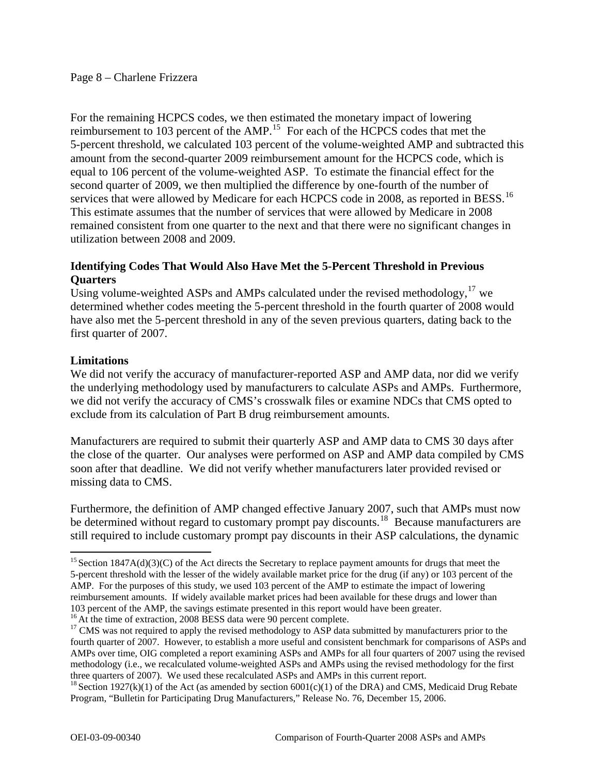For the remaining HCPCS codes, we then estimated the monetary impact of lowering reimbursement to 103 percent of the AMP.<sup>[15](#page-7-0)</sup> For each of the HCPCS codes that met the 5-percent threshold, we calculated 103 percent of the volume-weighted AMP and subtracted this amount from the second-quarter 2009 reimbursement amount for the HCPCS code, which is equal to 106 percent of the volume-weighted ASP. To estimate the financial effect for the second quarter of 2009, we then multiplied the difference by one-fourth of the number of services that were allowed by Medicare for each HCPCS code in 2008, as reported in BESS.<sup>[16](#page-7-1)</sup> This estimate assumes that the number of services that were allowed by Medicare in 2008 remained consistent from one quarter to the next and that there were no significant changes in utilization between 2008 and 2009.

## **Identifying Codes That Would Also Have Met the 5-Percent Threshold in Previous Quarters**

Using volume-weighted ASPs and AMPs calculated under the revised methodology,  $17$  we determined whether codes meeting the 5-percent threshold in the fourth quarter of 2008 would have also met the 5-percent threshold in any of the seven previous quarters, dating back to the first quarter of 2007.

## **Limitations**

 $\overline{a}$ 

We did not verify the accuracy of manufacturer-reported ASP and AMP data, nor did we verify the underlying methodology used by manufacturers to calculate ASPs and AMPs. Furthermore, we did not verify the accuracy of CMS's crosswalk files or examine NDCs that CMS opted to exclude from its calculation of Part B drug reimbursement amounts.

Manufacturers are required to submit their quarterly ASP and AMP data to CMS 30 days after the close of the quarter. Our analyses were performed on ASP and AMP data compiled by CMS soon after that deadline. We did not verify whether manufacturers later provided revised or missing data to CMS.

Furthermore, the definition of AMP changed effective January 2007, such that AMPs must now be determined without regard to customary prompt pay discounts.<sup>[18](#page-7-3)</sup> Because manufacturers are still required to include customary prompt pay discounts in their ASP calculations, the dynamic

<span id="page-7-0"></span><sup>&</sup>lt;sup>15</sup> Section 1847A(d)(3)(C) of the Act directs the Secretary to replace payment amounts for drugs that meet the 5-percent threshold with the lesser of the widely available market price for the drug (if any) or 103 percent of the AMP. For the purposes of this study, we used 103 percent of the AMP to estimate the impact of lowering reimbursement amounts. If widely available market prices had been available for these drugs and lower than 103 percent of the AMP, the savings estimate presented in this report would have been greater. <sup>16</sup> At the time of extraction, 2008 BESS data were 90 percent complete.

<span id="page-7-2"></span><span id="page-7-1"></span><sup>&</sup>lt;sup>17</sup> CMS was not required to apply the revised methodology to ASP data submitted by manufacturers prior to the fourth quarter of 2007. However, to establish a more useful and consistent benchmark for comparisons of ASPs and AMPs over time, OIG completed a report examining ASPs and AMPs for all four quarters of 2007 using the revised methodology (i.e., we recalculated volume-weighted ASPs and AMPs using the revised methodology for the first

<span id="page-7-3"></span>three quarters of 2007). We used these recalculated ASPs and AMPs in this current report.<br><sup>18</sup> Section 1927(k)(1) of the Act (as amended by section 6001(c)(1) of the DRA) and CMS, Medicaid Drug Rebate Program, "Bulletin for Participating Drug Manufacturers," Release No. 76, December 15, 2006.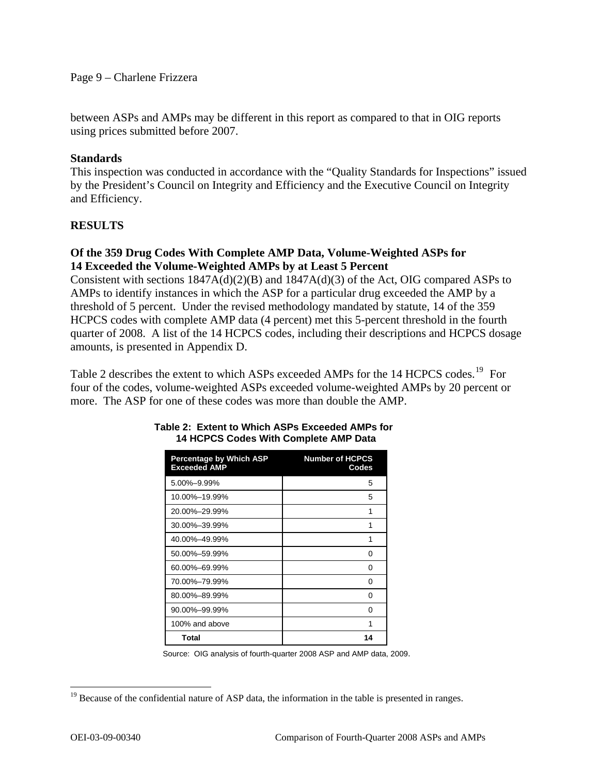Page 9 – Charlene Frizzera

between ASPs and AMPs may be different in this report as compared to that in OIG reports using prices submitted before 2007.

#### **Standards**

This inspection was conducted in accordance with the "Quality Standards for Inspections" issued by the President's Council on Integrity and Efficiency and the Executive Council on Integrity and Efficiency.

#### **RESULTS**

## **Of the 359 Drug Codes With Complete AMP Data, Volume-Weighted ASPs for 14 Exceeded the Volume-Weighted AMPs by at Least 5 Percent**

Consistent with sections 1847A(d)(2)(B) and 1847A(d)(3) of the Act, OIG compared ASPs to AMPs to identify instances in which the ASP for a particular drug exceeded the AMP by a threshold of 5 percent. Under the revised methodology mandated by statute, 14 of the 359 HCPCS codes with complete AMP data (4 percent) met this 5-percent threshold in the fourth quarter of 2008. A list of the 14 HCPCS codes, including their descriptions and HCPCS dosage amounts, is presented in Appendix D.

more. The ASP for one of these codes was more than double the AMP. Table 2 describes the extent to which ASPs exceeded AMPs for the 14 HCPCS codes.<sup>[19](#page-8-0)</sup> For four of the codes, volume-weighted ASPs exceeded volume-weighted AMPs by 20 percent or

| <b>Percentage by Which ASP</b><br><b>Exceeded AMP</b> | <b>Number of HCPCS</b><br>Codes |
|-------------------------------------------------------|---------------------------------|
| $5.00\% - 9.99\%$                                     | 5                               |
| 10.00%-19.99%                                         | 5                               |
| 20.00%-29.99%                                         | 1                               |
| 30.00%-39.99%                                         | 1                               |
| 40.00%-49.99%                                         | 1                               |
| 50.00%-59.99%                                         | O                               |
| 60.00%-69.99%                                         | ∩                               |
| 70.00%-79.99%                                         | U                               |
| 80.00%-89.99%                                         | O                               |
| 90.00%-99.99%                                         | ∩                               |
| 100% and above                                        | 1                               |
| Total                                                 | 14                              |

#### **Table 2: Extent to Which ASPs Exceeded AMPs for 14 HCPCS Codes With Complete AMP Data**

Source: OIG analysis of fourth-quarter 2008 ASP and AMP data, 2009.

<span id="page-8-0"></span><sup>&</sup>lt;sup>19</sup> Because of the confidential nature of ASP data, the information in the table is presented in ranges.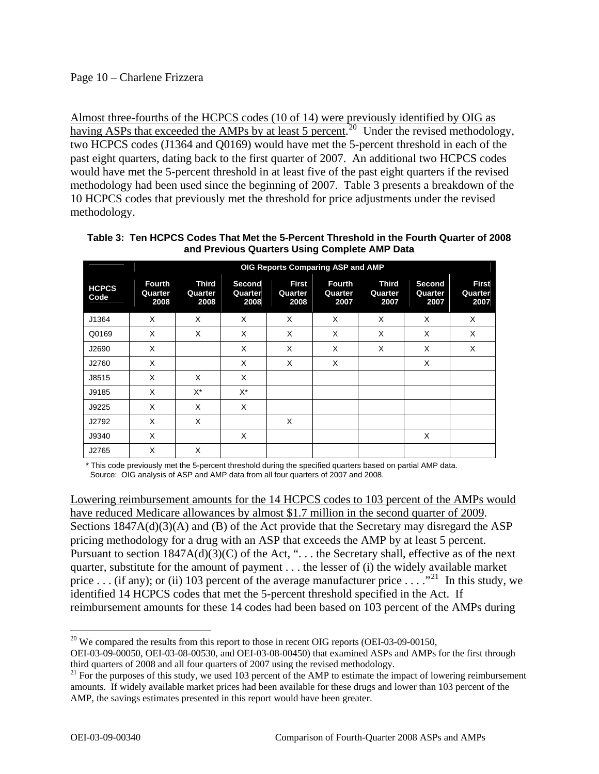## Page 10 – Charlene Frizzera

Almost three-fourths of the HCPCS codes (10 of 14) were previously identified by OIG as having ASPs that exceeded the AMPs by at least 5 percent.<sup>[20](#page-9-0)</sup> Under the revised methodology, two HCPCS codes (J1364 and Q0169) would have met the 5-percent threshold in each of the past eight quarters, dating back to the first quarter of 2007. An additional two HCPCS codes would have met the 5-percent threshold in at least five of the past eight quarters if the revised methodology had been used since the beginning of 2007. Table 3 presents a breakdown of the 10 HCPCS codes that previously met the threshold for price adjustments under the revised methodology.

| Table 3: Ten HCPCS Codes That Met the 5-Percent Threshold in the Fourth Quarter of 2008 |
|-----------------------------------------------------------------------------------------|
| and Previous Quarters Using Complete AMP Data                                           |

|                      | OIG Reports Comparing ASP and AMP |                          |                           |                                 |                           |                                 |                           |                                 |
|----------------------|-----------------------------------|--------------------------|---------------------------|---------------------------------|---------------------------|---------------------------------|---------------------------|---------------------------------|
| <b>HCPCS</b><br>Code | <b>Fourth</b><br>Quarter<br>2008  | Third<br>Quarter<br>2008 | Second<br>Quarter<br>2008 | <b>First</b><br>Quarter<br>2008 | Fourth<br>Quarter<br>2007 | <b>Third</b><br>Quarter<br>2007 | Second<br>Quarter<br>2007 | <b>First</b><br>Quarter<br>2007 |
| J1364                | X                                 | X                        | X                         | X                               | X                         | X                               | X                         | X                               |
| Q0169                | X                                 | X                        | X                         | X                               | X                         | X                               | X                         | X                               |
| J2690                | X                                 |                          | X                         | X                               | X                         | X                               | X                         | X                               |
| J2760                | X                                 |                          | X                         | X                               | X                         |                                 | X                         |                                 |
| J8515                | X                                 | X                        | X                         |                                 |                           |                                 |                           |                                 |
| J9185                | X                                 | X*                       | X*                        |                                 |                           |                                 |                           |                                 |
| J9225                | X                                 | X                        | X                         |                                 |                           |                                 |                           |                                 |
| J2792                | X                                 | X                        |                           | X                               |                           |                                 |                           |                                 |
| J9340                | X                                 |                          | X                         |                                 |                           |                                 | X                         |                                 |
| J2765                | X                                 | X                        |                           |                                 |                           |                                 |                           |                                 |

 \* This code previously met the 5-percent threshold during the specified quarters based on partial AMP data. Source: OIG analysis of ASP and AMP data from all four quarters of 2007 and 2008.

Lowering reimbursement amounts for the 14 HCPCS codes to 103 percent of the AMPs would have reduced Medicare allowances by almost \$1.7 million in the second quarter of 2009. Sections  $1847A(d)(3)(A)$  and (B) of the Act provide that the Secretary may disregard the ASP pricing methodology for a drug with an ASP that exceeds the AMP by at least 5 percent. Pursuant to section  $1847A(d)(3)(C)$  of the Act, "... the Secretary shall, effective as of the next quarter, substitute for the amount of payment . . . the lesser of (i) the widely available market price . . . (if any); or (ii) 103 percent of the average manufacturer price . . . . .<sup>"[21](#page-9-1)</sup> In this study, we identified 14 HCPCS codes that met the 5-percent threshold specified in the Act. If reimbursement amounts for these 14 codes had been based on 103 percent of the AMPs during

 $\overline{a}$  $20$  We compared the results from this report to those in recent OIG reports (OEI-03-09-00150,

<span id="page-9-0"></span>OEI-03-09-00050, OEI-03-08-00530, and OEI-03-08-00450) that examined ASPs and AMPs for the first through third quarters of 2008 and all four quarters of 2007 using the revised methodology.

<span id="page-9-1"></span> $21$  For the purposes of this study, we used 103 percent of the AMP to estimate the impact of lowering reimbursement amounts. If widely available market prices had been available for these drugs and lower than 103 percent of the AMP, the savings estimates presented in this report would have been greater.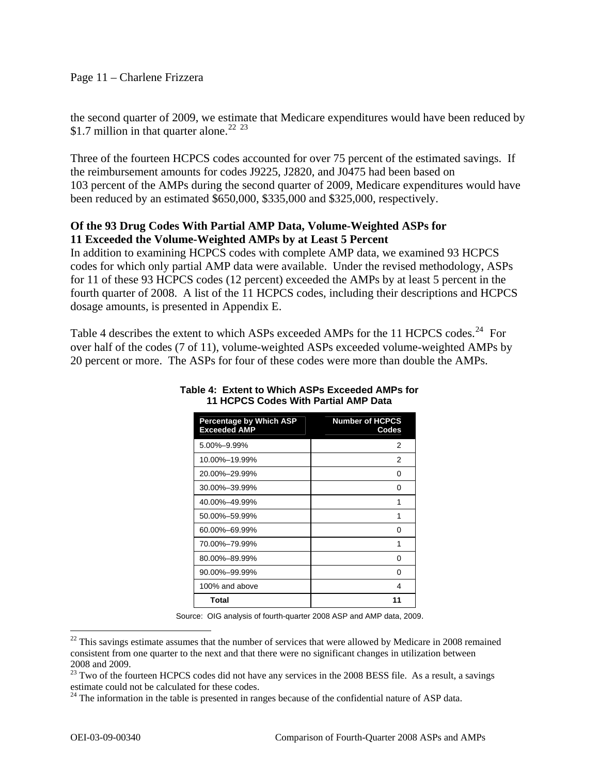Page 11 – Charlene Frizzera

the second quarter of 2009, we estimate that Medicare expenditures would have been reduced by \$1.7 million in that quarter alone.<sup>[22](#page-10-0) [23](#page-10-1)</sup>

Three of the fourteen HCPCS codes accounted for over 75 percent of the estimated savings. If the reimbursement amounts for codes J9225, J2820, and J0475 had been based on 103 percent of the AMPs during the second quarter of 2009, Medicare expenditures would have been reduced by an estimated \$650,000, \$335,000 and \$325,000, respectively.

## **Of the 93 Drug Codes With Partial AMP Data, Volume-Weighted ASPs for 11 Exceeded the Volume-Weighted AMPs by at Least 5 Percent**

In addition to examining HCPCS codes with complete AMP data, we examined 93 HCPCS codes for which only partial AMP data were available. Under the revised methodology, ASPs for 11 of these 93 HCPCS codes (12 percent) exceeded the AMPs by at least 5 percent in the fourth quarter of 2008. A list of the 11 HCPCS codes, including their descriptions and HCPCS dosage amounts, is presented in Appendix E.

Table 4 describes the extent to which ASPs exceeded AMPs for the 11 HCPCS codes.<sup>[24](#page-10-2)</sup> For over half of the codes (7 of 11), volume-weighted ASPs exceeded volume-weighted AMPs by 20 percent or more. The ASPs for four of these codes were more than double the AMPs.

| <b>Percentage by Which ASP</b><br><b>Exceeded AMP</b> | <b>Number of HCPCS</b><br>Codes |
|-------------------------------------------------------|---------------------------------|
| 5.00%-9.99%                                           | 2                               |
| 10.00%-19.99%                                         | 2                               |
| 20.00%-29.99%                                         | 0                               |
| 30.00%-39.99%                                         | 0                               |
| 40.00%-49.99%                                         | 1                               |
| 50.00%-59.99%                                         | 1                               |
| 60.00%-69.99%                                         | O                               |
| 70.00%-79.99%                                         | 1                               |
| 80.00%-89.99%                                         | ŋ                               |
| 90.00%-99.99%                                         | ŋ                               |
| 100% and above                                        | 4                               |
| Total                                                 | 1                               |

|  | Table 4: Extent to Which ASPs Exceeded AMPs for |  |
|--|-------------------------------------------------|--|
|  | 11 HCPCS Codes With Partial AMP Data            |  |

Source: OIG analysis of fourth-quarter 2008 ASP and AMP data, 2009.

<span id="page-10-0"></span><sup>&</sup>lt;sup>22</sup> This savings estimate assumes that the number of services that were allowed by Medicare in 2008 remained consistent from one quarter to the next and that there were no significant changes in utilization between 2008 and 2009.

<span id="page-10-1"></span> $^{23}$  Two of the fourteen HCPCS codes did not have any services in the 2008 BESS file. As a result, a savings estimate could not be calculated for these codes.

<span id="page-10-2"></span> $24$  The information in the table is presented in ranges because of the confidential nature of ASP data.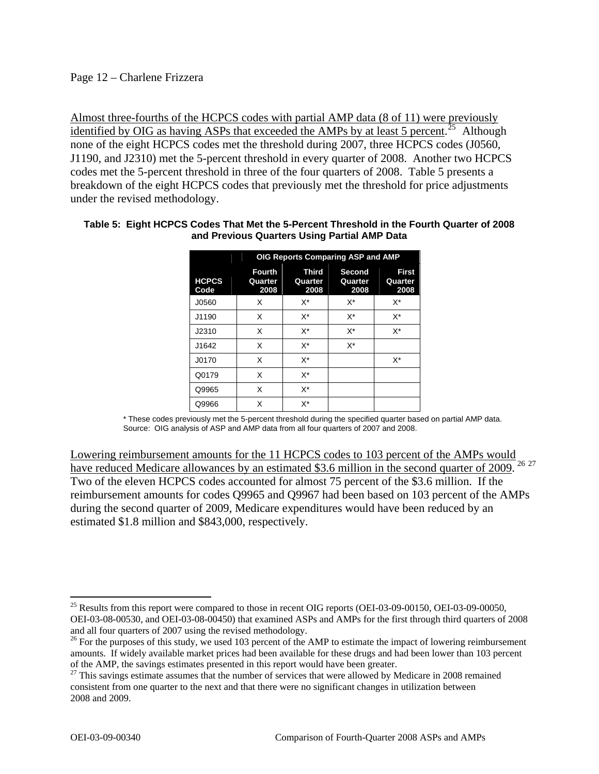### Page 12 – Charlene Frizzera

Almost three-fourths of the HCPCS codes with partial AMP data (8 of 11) were previously identified by OIG as having ASPs that exceeded the AMPs by at least 5 percent.<sup>[25](#page-11-0)</sup> Although none of the eight HCPCS codes met the threshold during 2007, three HCPCS codes (J0560, J1190, and J2310) met the 5-percent threshold in every quarter of 2008. Another two HCPCS codes met the 5-percent threshold in three of the four quarters of 2008. Table 5 presents a breakdown of the eight HCPCS codes that previously met the threshold for price adjustments under the revised methodology.

|                      |                                  |                                 | <b>OIG Reports Comparing ASP and AMP</b> |                                 |  |  |
|----------------------|----------------------------------|---------------------------------|------------------------------------------|---------------------------------|--|--|
| <b>HCPCS</b><br>Code | <b>Fourth</b><br>Quarter<br>2008 | <b>Third</b><br>Quarter<br>2008 | <b>Second</b><br>Quarter<br>2008         | <b>First</b><br>Quarter<br>2008 |  |  |
| J0560                | X                                | X*                              | $X^*$                                    | $X^*$                           |  |  |
| J1190                | X                                | X*                              | X*                                       | X*                              |  |  |
| J2310                | X                                | X*                              | X*                                       | $X^*$                           |  |  |
| J1642                | X                                | X*                              | X*                                       |                                 |  |  |
| J0170                | X                                | X*                              |                                          | X*                              |  |  |
| Q0179                | X                                | X*                              |                                          |                                 |  |  |
| Q9965                | X                                | $X^*$                           |                                          |                                 |  |  |
| Q9966                | x                                | X*                              |                                          |                                 |  |  |

#### **Table 5: Eight HCPCS Codes That Met the 5-Percent Threshold in the Fourth Quarter of 2008 and Previous Quarters Using Partial AMP Data**

\* These codes previously met the 5-percent threshold during the specified quarter based on partial AMP data. Source: OIG analysis of ASP and AMP data from all four quarters of 2007 and 2008.

Lowering reimbursement amounts for the 11 HCPCS codes to 103 percent of the AMPs would have reduced Medicare allowances by an estimated \$3.6 million in the second quarter of 2009. [26](#page-11-1) [27](#page-11-2) Two of the eleven HCPCS codes accounted for almost 75 percent of the \$3.6 million. If the reimbursement amounts for codes Q9965 and Q9967 had been based on 103 percent of the AMPs during the second quarter of 2009, Medicare expenditures would have been reduced by an estimated \$1.8 million and \$843,000, respectively.

<span id="page-11-0"></span><sup>&</sup>lt;sup>25</sup> Results from this report were compared to those in recent OIG reports (OEI-03-09-00150, OEI-03-09-00050, OEI-03-08-00530, and OEI-03-08-00450) that examined ASPs and AMPs for the first through third quarters of 2008 and all four quarters of 2007 using the revised methodology.

<span id="page-11-1"></span><sup>&</sup>lt;sup>26</sup> For the purposes of this study, we used 103 percent of the AMP to estimate the impact of lowering reimbursement amounts. If widely available market prices had been available for these drugs and had been lower than 103 percent of the AMP, the savings estimates presented in this report would have been greater.

<span id="page-11-2"></span><sup>&</sup>lt;sup>27</sup> This savings estimate assumes that the number of services that were allowed by Medicare in 2008 remained consistent from one quarter to the next and that there were no significant changes in utilization between 2008 and 2009.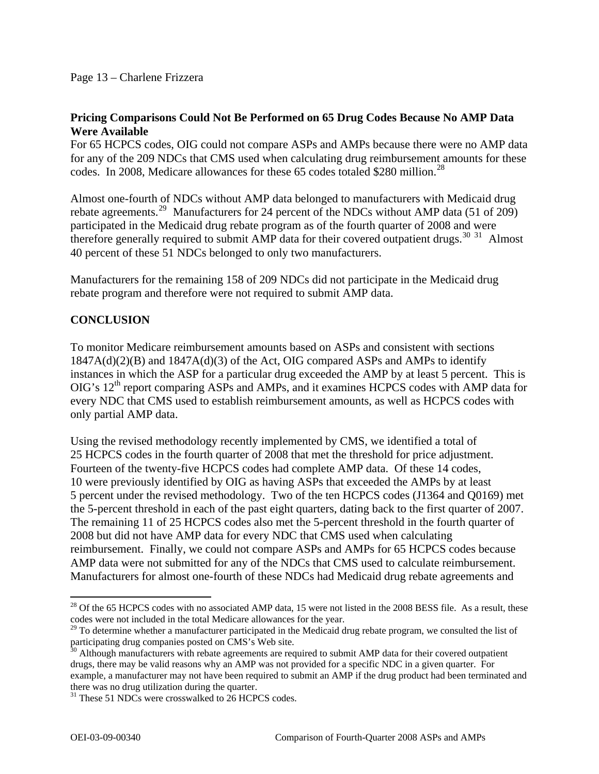# **Pricing Comparisons Could Not Be Performed on 65 Drug Codes Because No AMP Data Were Available**

For 65 HCPCS codes, OIG could not compare ASPs and AMPs because there were no AMP data for any of the 209 NDCs that CMS used when calculating drug reimbursement amounts for these codes. In 2008, Medicare allowances for these 65 codes totaled \$[28](#page-12-0)0 million.<sup>28</sup>

Almost one-fourth of NDCs without AMP data belonged to manufacturers with Medicaid drug rebate agreements.<sup>[29](#page-12-1)</sup> Manufacturers for 24 percent of the NDCs without AMP data (51 of 209) participated in the Medicaid drug rebate program as of the fourth quarter of 2008 and were therefore generally required to submit AMP data for their covered outpatient drugs.<sup>[30](#page-12-2) [31](#page-12-3)</sup> Almost 40 percent of these 51 NDCs belonged to only two manufacturers.

Manufacturers for the remaining 158 of 209 NDCs did not participate in the Medicaid drug rebate program and therefore were not required to submit AMP data.

# **CONCLUSION**

To monitor Medicare reimbursement amounts based on ASPs and consistent with sections  $1847A(d)(2)(B)$  and  $1847A(d)(3)$  of the Act, OIG compared ASPs and AMPs to identify instances in which the ASP for a particular drug exceeded the AMP by at least 5 percent. This is OIG's  $12<sup>th</sup>$  report comparing ASPs and AMPs, and it examines HCPCS codes with AMP data for every NDC that CMS used to establish reimbursement amounts, as well as HCPCS codes with only partial AMP data.

Using the revised methodology recently implemented by CMS, we identified a total of 25 HCPCS codes in the fourth quarter of 2008 that met the threshold for price adjustment. Fourteen of the twenty-five HCPCS codes had complete AMP data. Of these 14 codes, 10 were previously identified by OIG as having ASPs that exceeded the AMPs by at least 5 percent under the revised methodology. Two of the ten HCPCS codes (J1364 and Q0169) met the 5-percent threshold in each of the past eight quarters, dating back to the first quarter of 2007. The remaining 11 of 25 HCPCS codes also met the 5-percent threshold in the fourth quarter of 2008 but did not have AMP data for every NDC that CMS used when calculating reimbursement. Finally, we could not compare ASPs and AMPs for 65 HCPCS codes because AMP data were not submitted for any of the NDCs that CMS used to calculate reimbursement. Manufacturers for almost one-fourth of these NDCs had Medicaid drug rebate agreements and

<span id="page-12-0"></span> $^{28}$  Of the 65 HCPCS codes with no associated AMP data, 15 were not listed in the 2008 BESS file. As a result, these codes were not included in the total Medicare allowances for the year.

<span id="page-12-1"></span> $29$  To determine whether a manufacturer participated in the Medicaid drug rebate program, we consulted the list of participating drug companies posted on CMS's Web site.

<span id="page-12-2"></span> $30$  Although manufacturers with rebate agreements are required to submit AMP data for their covered outpatient drugs, there may be valid reasons why an AMP was not provided for a specific NDC in a given quarter. For example, a manufacturer may not have been required to submit an AMP if the drug product had been terminated and there was no drug utilization during the quarter.

<span id="page-12-3"></span><sup>&</sup>lt;sup>31</sup> These 51 NDCs were crosswalked to 26 HCPCS codes.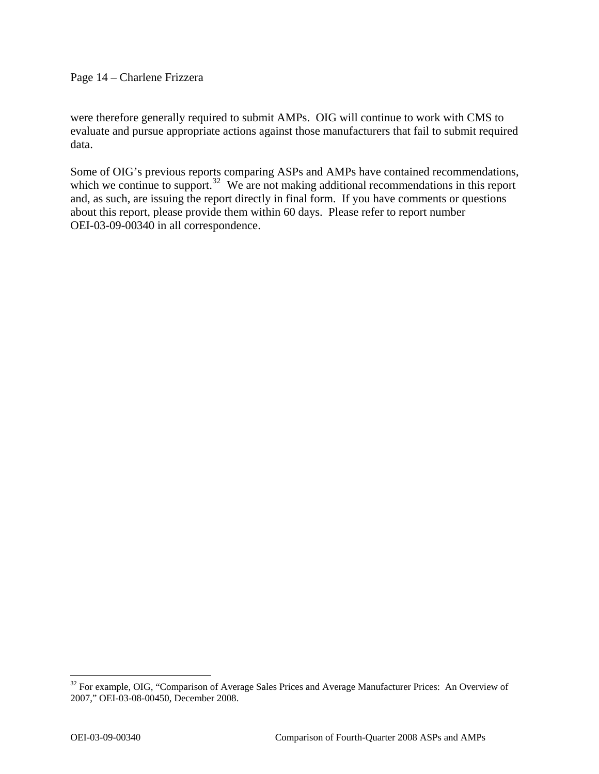Page 14 – Charlene Frizzera

were therefore generally required to submit AMPs. OIG will continue to work with CMS to evaluate and pursue appropriate actions against those manufacturers that fail to submit required data.

Some of OIG's previous reports comparing ASPs and AMPs have contained recommendations, which we continue to support.<sup>[32](#page-13-0)</sup> We are not making additional recommendations in this report and, as such, are issuing the report directly in final form. If you have comments or questions about this report, please provide them within 60 days. Please refer to report number OEI-03-09-00340 in all correspondence.

<span id="page-13-0"></span> $32$  For example, OIG, "Comparison of Average Sales Prices and Average Manufacturer Prices: An Overview of 2007," OEI-03-08-00450, December 2008.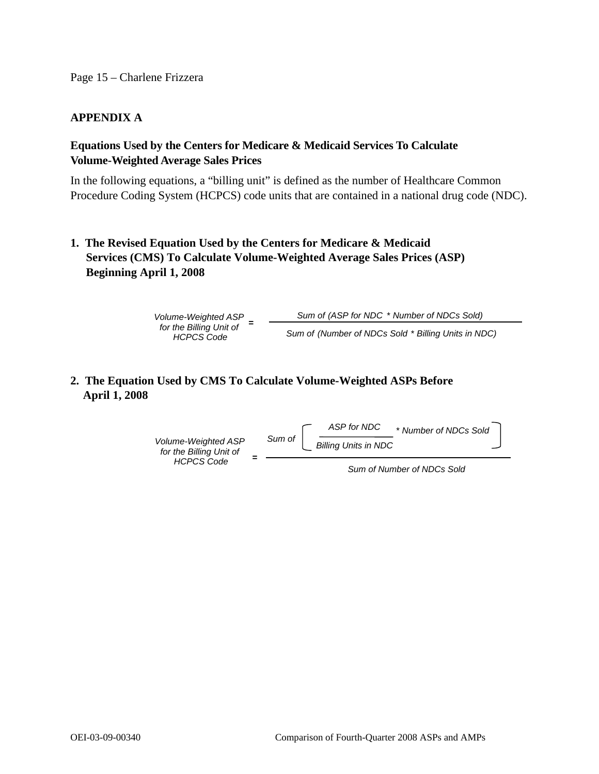## **APPENDIX A**

# **Equations Used by the Centers for Medicare & Medicaid Services To Calculate Volume-Weighted Average Sales Prices**

In the following equations, a "billing unit" is defined as the number of Healthcare Common Procedure Coding System (HCPCS) code units that are contained in a national drug code (NDC).

**1. The Revised Equation Used by the Centers for Medicare & Medicaid Services (CMS) To Calculate Volume-Weighted Average Sales Prices (ASP) Beginning April 1, 2008** 

> *Volume-Weighted ASP Sum of (ASP for NDC* \* *Number of NDCs Sold) for the Billing Unit of HCPCS Code*  **=**  *Sum of (Number of NDCs Sold* \* *Billing Units in NDC)*

# **2. The Equation Used by CMS To Calculate Volume-Weighted ASPs Before April 1, 2008**



*Sum of Number of NDCs Sold*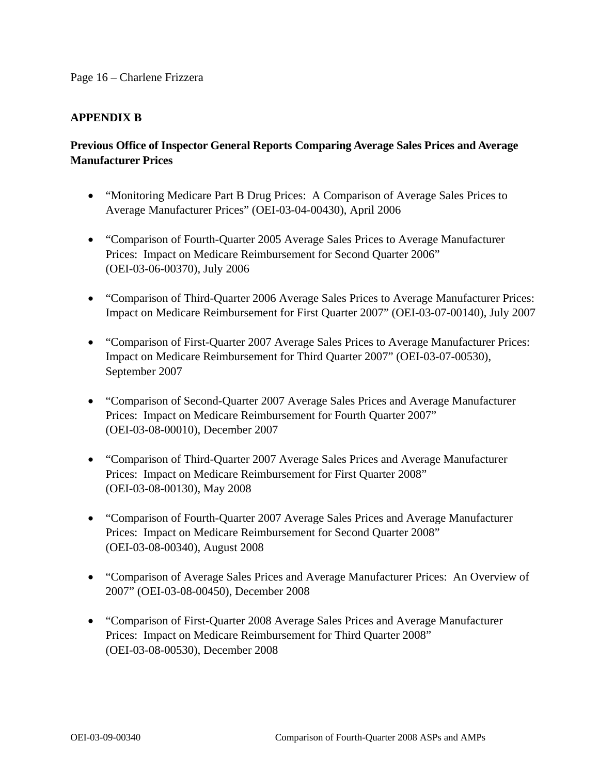#### Page 16 – Charlene Frizzera

## **APPENDIX B**

# **Previous Office of Inspector General Reports Comparing Average Sales Prices and Average Manufacturer Prices**

- "Monitoring Medicare Part B Drug Prices: A Comparison of Average Sales Prices to Average Manufacturer Prices" (OEI-03-04-00430), April 2006
- "Comparison of Fourth-Quarter 2005 Average Sales Prices to Average Manufacturer Prices: Impact on Medicare Reimbursement for Second Quarter 2006" (OEI-03-06-00370), July 2006
- "Comparison of Third-Quarter 2006 Average Sales Prices to Average Manufacturer Prices: Impact on Medicare Reimbursement for First Quarter 2007" (OEI-03-07-00140), July 2007
- "Comparison of First-Quarter 2007 Average Sales Prices to Average Manufacturer Prices: Impact on Medicare Reimbursement for Third Quarter 2007" (OEI-03-07-00530), September 2007
- "Comparison of Second-Quarter 2007 Average Sales Prices and Average Manufacturer Prices: Impact on Medicare Reimbursement for Fourth Quarter 2007" (OEI-03-08-00010), December 2007
- "Comparison of Third-Quarter 2007 Average Sales Prices and Average Manufacturer Prices: Impact on Medicare Reimbursement for First Quarter 2008" (OEI-03-08-00130), May 2008
- "Comparison of Fourth-Quarter 2007 Average Sales Prices and Average Manufacturer Prices: Impact on Medicare Reimbursement for Second Quarter 2008" (OEI-03-08-00340), August 2008
- "Comparison of Average Sales Prices and Average Manufacturer Prices: An Overview of 2007" (OEI-03-08-00450), December 2008
- "Comparison of First-Quarter 2008 Average Sales Prices and Average Manufacturer Prices: Impact on Medicare Reimbursement for Third Quarter 2008" (OEI-03-08-00530), December 2008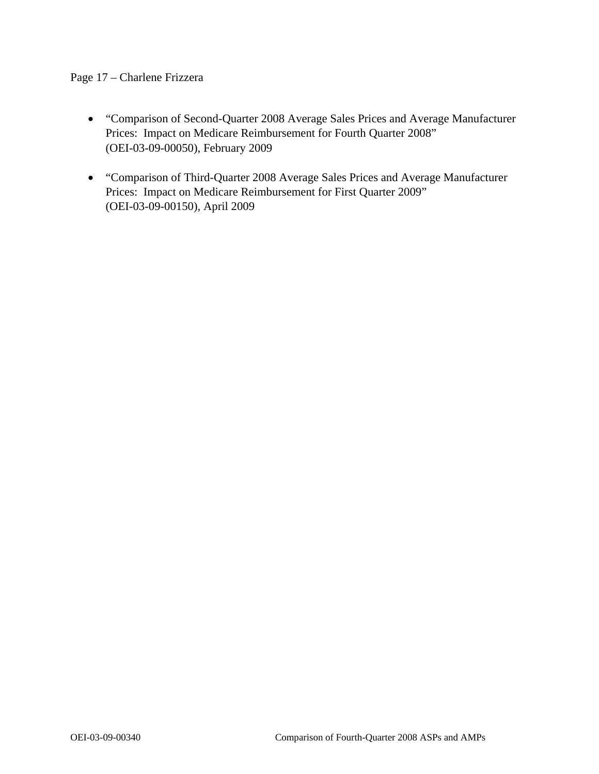# Page 17 – Charlene Frizzera

- "Comparison of Second-Quarter 2008 Average Sales Prices and Average Manufacturer Prices: Impact on Medicare Reimbursement for Fourth Quarter 2008" (OEI-03-09-00050), February 2009
- "Comparison of Third-Quarter 2008 Average Sales Prices and Average Manufacturer Prices: Impact on Medicare Reimbursement for First Quarter 2009" (OEI-03-09-00150), April 2009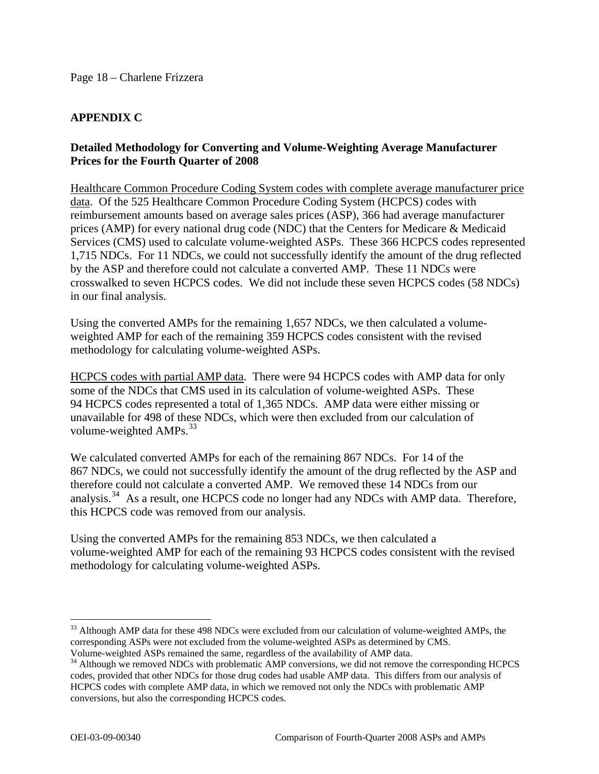# **APPENDIX C**

## **Detailed Methodology for Converting and Volume-Weighting Average Manufacturer Prices for the Fourth Quarter of 2008**

Healthcare Common Procedure Coding System codes with complete average manufacturer price data. Of the 525 Healthcare Common Procedure Coding System (HCPCS) codes with reimbursement amounts based on average sales prices (ASP), 366 had average manufacturer prices (AMP) for every national drug code (NDC) that the Centers for Medicare & Medicaid Services (CMS) used to calculate volume-weighted ASPs. These 366 HCPCS codes represented 1,715 NDCs. For 11 NDCs, we could not successfully identify the amount of the drug reflected by the ASP and therefore could not calculate a converted AMP. These 11 NDCs were crosswalked to seven HCPCS codes. We did not include these seven HCPCS codes (58 NDCs) in our final analysis.

Using the converted AMPs for the remaining 1,657 NDCs, we then calculated a volumeweighted AMP for each of the remaining 359 HCPCS codes consistent with the revised methodology for calculating volume-weighted ASPs.

HCPCS codes with partial AMP data. There were 94 HCPCS codes with AMP data for only some of the NDCs that CMS used in its calculation of volume-weighted ASPs. These 94 HCPCS codes represented a total of 1,365 NDCs. AMP data were either missing or unavailable for 498 of these NDCs, which were then excluded from our calculation of volume-weighted  $AMPs.<sup>33</sup>$  $AMPs.<sup>33</sup>$  $AMPs.<sup>33</sup>$ 

We calculated converted AMPs for each of the remaining 867 NDCs. For 14 of the 867 NDCs, we could not successfully identify the amount of the drug reflected by the ASP and therefore could not calculate a converted AMP. We removed these 14 NDCs from our analysis.<sup>[34](#page-17-1)</sup> As a result, one HCPCS code no longer had any NDCs with AMP data. Therefore, this HCPCS code was removed from our analysis.

Using the converted AMPs for the remaining 853 NDCs, we then calculated a volume-weighted AMP for each of the remaining 93 HCPCS codes consistent with the revised methodology for calculating volume-weighted ASPs.

<span id="page-17-0"></span><sup>&</sup>lt;sup>33</sup> Although AMP data for these 498 NDCs were excluded from our calculation of volume-weighted AMPs, the corresponding ASPs were not excluded from the volume-weighted ASPs as determined by CMS. Volume-weighted ASPs remained the same, regardless of the availability of AMP data.

<span id="page-17-1"></span><sup>&</sup>lt;sup>34</sup> Although we removed NDCs with problematic AMP conversions, we did not remove the corresponding HCPCS codes, provided that other NDCs for those drug codes had usable AMP data. This differs from our analysis of HCPCS codes with complete AMP data, in which we removed not only the NDCs with problematic AMP conversions, but also the corresponding HCPCS codes.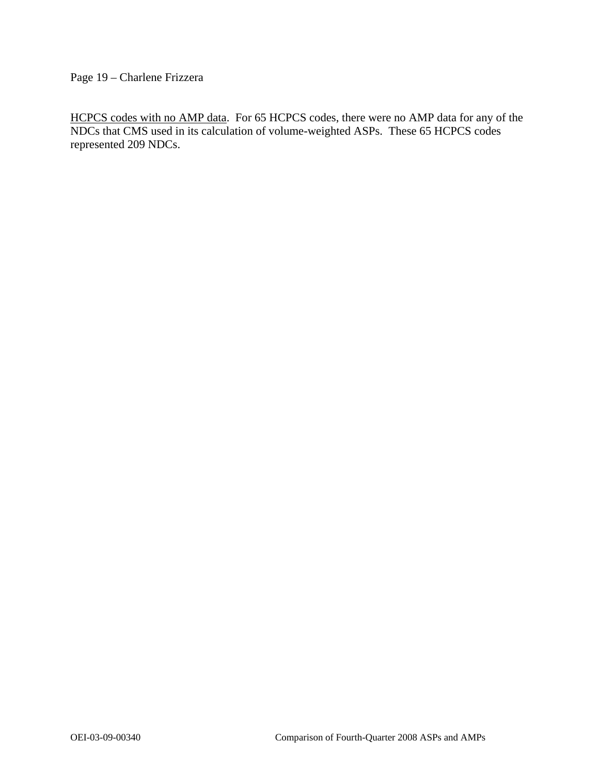Page 19 – Charlene Frizzera

HCPCS codes with no AMP data. For 65 HCPCS codes, there were no AMP data for any of the NDCs that CMS used in its calculation of volume-weighted ASPs. These 65 HCPCS codes represented 209 NDCs.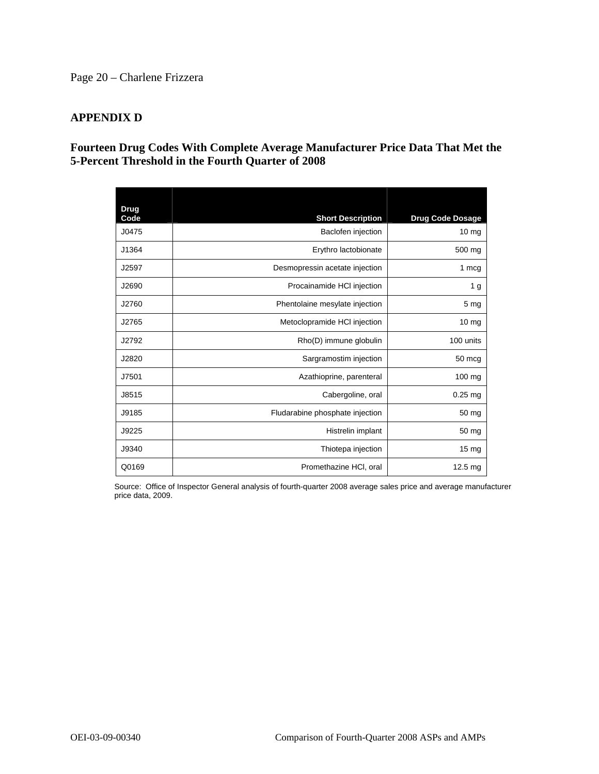## Page 20 – Charlene Frizzera

## **APPENDIX D**

## **Fourteen Drug Codes With Complete Average Manufacturer Price Data That Met the 5-Percent Threshold in the Fourth Quarter of 2008**

| <b>Drug</b> |                                 |                         |
|-------------|---------------------------------|-------------------------|
| Code        | <b>Short Description</b>        | <b>Drug Code Dosage</b> |
| J0475       | Baclofen injection              | 10 <sub>mg</sub>        |
| J1364       | Erythro lactobionate            | 500 mg                  |
| J2597       | Desmopressin acetate injection  | 1 mcg                   |
| J2690       | Procainamide HCI injection      | 1 <sub>g</sub>          |
| J2760       | Phentolaine mesylate injection  | 5 mg                    |
| J2765       | Metoclopramide HCI injection    | 10 mg                   |
| J2792       | Rho(D) immune globulin          | 100 units               |
| J2820       | Sargramostim injection          | 50 mcg                  |
| J7501       | Azathioprine, parenteral        | 100 mg                  |
| J8515       | Cabergoline, oral               | $0.25$ mg               |
| J9185       | Fludarabine phosphate injection | 50 mg                   |
| J9225       | Histrelin implant               | 50 mg                   |
| J9340       | Thiotepa injection              | 15 <sub>mg</sub>        |
| Q0169       | Promethazine HCI, oral          | $12.5 \text{ mg}$       |

Source: Office of Inspector General analysis of fourth-quarter 2008 average sales price and average manufacturer price data, 2009.